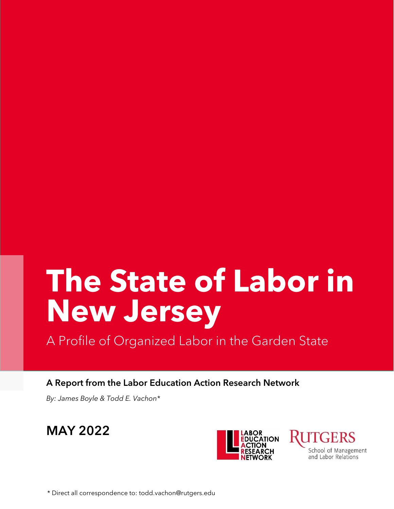# **The State of Labor in New Jersey**

A Profile of Organized Labor in the Garden State

A Report from the Labor Education Action Research Network

*By: James Boyle & Todd E. Vachon\**





**UTGERS** School of Management and Labor Relations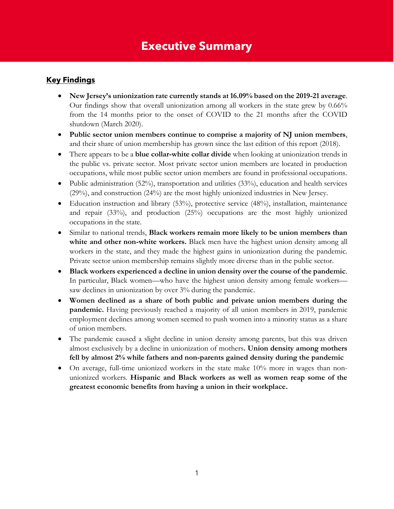### **Executive Summary**

#### **Key Findings**

- **New Jersey's unionization rate currently stands at16.09% based on the 2019-21 average**. Our findings show that overall unionization among all workers in the state grew by 0.66% from the 14 months prior to the onset of COVID to the 21 months after the COVID shutdown (March 2020).
- **Public sector union members continue to comprise a majority of NJ union members**, and their share of union membership has grown since the last edition of this report (2018).
- There appears to be a **blue collar-white collar divide** when looking at unionization trends in the public vs. private sector. Most private sector union members are located in production occupations, while most public sector union members are found in professional occupations.
- Public administration (52%), transportation and utilities (33%), education and health services (29%), and construction (24%) are the most highly unionized industries in New Jersey.
- Education instruction and library (53%), protective service (48%), installation, maintenance and repair (33%), and production (25%) occupations are the most highly unionized occupations in the state.
- Similar to national trends, **Black workers remain more likely to be union members than white and other non-white workers.** Black men have the highest union density among all workers in the state, and they made the highest gains in unionization during the pandemic. Private sector union membership remains slightly more diverse than in the public sector.
- **Black workers experienced a decline in union density over the course of the pandemic**. In particular, Black women—who have the highest union density among female workers saw declines in unionization by over 3% during the pandemic.
- **Women declined as a share of both public and private union members during the pandemic.** Having previously reached a majority of all union members in 2019, pandemic employment declines among women seemed to push women into a minority status as a share of union members.
- The pandemic caused a slight decline in union density among parents, but this was driven almost exclusively by a decline in unionization of mothers**. Union density among mothers fell by almost 2% while fathers and non-parents gained density during the pandemic**
- On average, full-time unionized workers in the state make 10% more in wages than nonunionized workers. **Hispanic and Black workers as well as women reap some of the greatest economic benefits from having a union in their workplace.**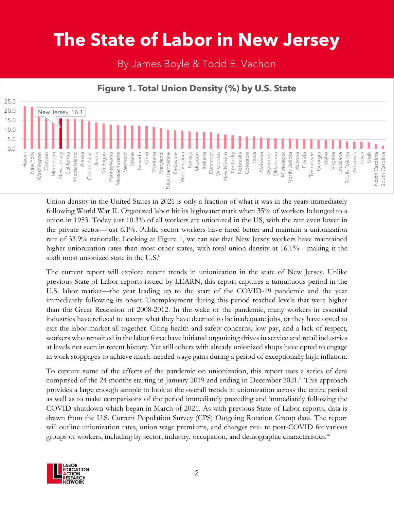## **The State of Labor in New Jersey**

By James Boyle & Todd E. Vachon

#### 25.0 20.0 New Jersey, 16.1 15.0 10.0 5.0 0.0 Oregon Florida Maine Ohio Virginia Arkansas Washington Minnesota Alaska<br>Connecticut Illinois Michigan Vermont Nevada Wisconsin Iowa Alabama Tennessee Georgia Idaho Louisiana South Dakota Texas Utah<br>North Carolina New York New Jersey California Rhode Island Pennsylvania<br>Massachusetts Montana Maryland<br>Mampshire<br>Mew Hampshire New Mexico Colorado Arizona South Carolina Hawaii Connecticut Massachusetts New Hampshire Delaware West Virginia Missouri Indiana District of Kentucky Nebraska Wyoming Oklahoma Mississippi North Dakota North Carolina South Carolina Kansas

### **Figure 1. Total Union Density (%) by U.S. State**

Union density in the United States in 2021 is only a fraction of what it was in the years immediately following World War II. Organized labor hit its highwater mark when 35% of workers belonged to a union in 1953. Today just 10.3% of all workers are unionized in the US, with the rate even lower in the private sector—just 6.1%. Public sector workers have fared better and maintain a unionization rate of 33.9% nationally. Looking at Figure 1, we can see that New Jersey workers have maintained higher unionization rates than most other states, with total union density at 16.1%—making it the sixth most unionized state in the U.S. $^{\text{i}}$ .

The current report will explore recent trends in unionization in the state of New Jersey. Unlike previous State of Labor reports issued by LEARN, this report captures a tumultuous period in the U.S. labor market—the year leading up to the start of the COVID-19 pandemic and the year immediately following its onset. Unemployment during this period reached levels that were higher than the Great Recession of 2008-2012. In the wake of the pandemic, many workers in essential industries have refused to accept what they have deemed to be inadequate jobs, or they have opted to exit the labor market all together. Citing health and safety concerns, low pay, and a lack of respect, workers who remained in the labor force have initiated organizing drives in service and retail industries at levels not seen in recent history. Yet still others with already unionized shops have opted to engage in work stoppages to achieve much-needed wage gains during a period of exceptionally high inflation.

To capture some of the effects of the pandemic on unionization, this report uses a series of data comprised of the 24 months starting in January 2019 and ending in December 2021.<sup>ii.</sup> This approach provides a large enough sample to look at the overall trends in unionization across the entire period as well as to make comparisons of the period immediately preceding and immediately following the COVID shutdown which began in March of 2021. As with previous State of Labor reports, data is drawn from the U.S. Current Population Survey (CPS) Outgoing Rotation Group data. The report will outline unionization rates, union wage premiums, and changes pre- to post-COVID for various groups of workers, including by sector, industry, occupation, and demographic characteristics.<sup>III</sup>

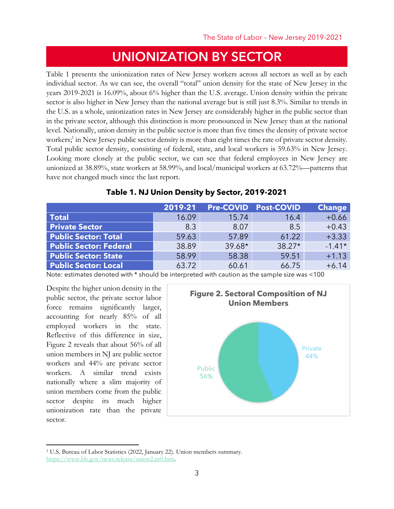### UNIONIZATION BY SECTOR

Table 1 presents the unionization rates of New Jersey workers across all sectors as well as by each individual sector. As we can see, the overall "total" union density for the state of New Jersey in the years 2019-2021 is 16.09%, about 6% higher than the U.S. average. Union density within the private sector is also higher in New Jersey than the national average but is still just 8.3%. Similar to trends in the U.S. as a whole, unionization rates in New Jersey are considerably higher in the public sector than in the private sector, although this distinction is more pronounced in New Jersey than at the national level. Nationally, union density in the public sector is more than five times the density of private sector workers;<sup>1</sup> in New Jersey public sector density is more than eight times the rate of private sector density. Total public sector density, consisting of federal, state, and local workers is 59.63% in New Jersey. Looking more closely at the public sector, we can see that federal employees in New Jersey are unionized at 38.89%, state workers at 58.99%, and local/municipal workers at 63.72%—patterns that have not changed much since the last report.

|                               | 2019-21 | <b>Pre-COVID</b> | <b>Post-COVID</b> | <b>Change</b> |
|-------------------------------|---------|------------------|-------------------|---------------|
| Total                         | 16.09   | 15.74            | 16.4              | $+0.66$       |
| <b>Private Sector</b>         | 8.3     | 8.07             | 8.5               | $+0.43$       |
| <b>Public Sector: Total</b>   | 59.63   | 57.89            | 61.22             | $+3.33$       |
| <b>Public Sector: Federal</b> | 38.89   | $39.68*$         | $38.27*$          | $-1.41*$      |
| <b>Public Sector: State</b>   | 58.99   | 58.38            | 59.51             | $+1.13$       |
| <b>Public Sector: Local</b>   | 63.72   | 60.61            | 66.75             | $+6.14$       |

#### **Table 1. NJ Union Density by Sector, 2019-2021**

Note: estimates denoted with \* should be interpreted with caution as the sample size was <100

Despite the higher union density in the public sector, the private sector labor force remains significantly larger, accounting for nearly 85% of all employed workers in the state. Reflective of this difference in size, Figure 2 reveals that about 56% of all union members in NJ are public sector workers and 44% are private sector workers. A similar trend exists nationally where a slim majority of union members come from the public sector despite its much higher unionization rate than the private sector.



<sup>1</sup> U.S. Bureau of Labor Statistics (2022, January 22). Union members summary. [https://www.bls.gov/news.release/union2.nr0.htm.](https://www.bls.gov/news.release/union2.nr0.htm)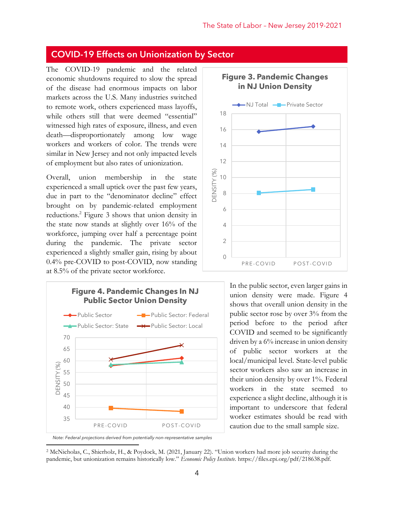### COVID-19 Effects on Unionization by Sector

The COVID-19 pandemic and the related economic shutdowns required to slow the spread of the disease had enormous impacts on labor markets across the U.S. Many industries switched to remote work, others experienced mass layoffs, while others still that were deemed "essential" witnessed high rates of exposure, illness, and even death—disproportionately among low wage workers and workers of color. The trends were similar in New Jersey and not only impacted levels of employment but also rates of unionization.

Overall, union membership in the state experienced a small uptick over the past few years, due in part to the "denominator decline" effect brought on by pandemic-related employment reductions.<sup>2</sup> Figure 3 shows that union density in the state now stands at slightly over 16% of the workforce, jumping over half a percentage point during the pandemic. The private sector experienced a slightly smaller gain, rising by about 0.4% pre-COVID to post-COVID, now standing at 8.5% of the private sector workforce.





In the public sector, even larger gains in union density were made. Figure 4 shows that overall union density in the public sector rose by over 3% from the period before to the period after COVID and seemed to be significantly driven by a 6% increase in union density of public sector workers at the local/municipal level. State-level public sector workers also saw an increase in their union density by over 1%. Federal workers in the state seemed to experience a slight decline, although it is important to underscore that federal worker estimates should be read with caution due to the small sample size.

<sup>2</sup> McNicholas, C., Shierholz, H., & Poydock, M. (2021, January 22). "Union workers had more job security during the pandemic, but unionization remains historically low." *Economic Policy Institute*. https://files.epi.org/pdf/218638.pdf.

*Note: Federal projections derived from potentially non-representative samples*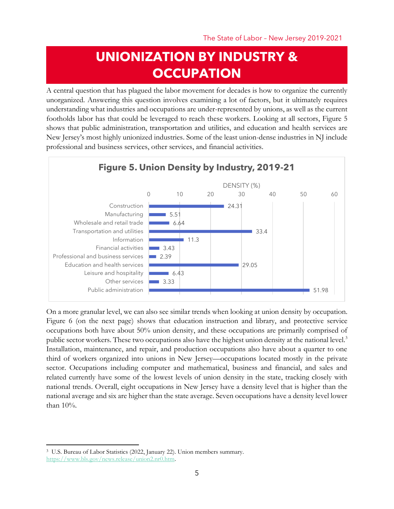### **UNIONIZATION BY INDUSTRY & OCCUPATION**

A central question that has plagued the labor movement for decades is how to organize the currently unorganized. Answering this question involves examining a lot of factors, but it ultimately requires understanding what industries and occupations are under-represented by unions, as well as the current footholds labor has that could be leveraged to reach these workers. Looking at all sectors, Figure 5 shows that public administration, transportation and utilities, and education and health services are New Jersey's most highly unionized industries. Some of the least union-dense industries in NJ include professional and business services, other services, and financial activities.



On a more granular level, we can also see similar trends when looking at union density by occupation. Figure 6 (on the next page) shows that education instruction and library, and protective service occupations both have about 50% union density, and these occupations are primarily comprised of public sector workers. These two occupations also have the highest union density at the national level.<sup>3</sup> Installation, maintenance, and repair, and production occupations also have about a quarter to one third of workers organized into unions in New Jersey—occupations located mostly in the private sector. Occupations including computer and mathematical, business and financial, and sales and related currently have some of the lowest levels of union density in the state, tracking closely with national trends. Overall, eight occupations in New Jersey have a density level that is higher than the national average and six are higher than the state average. Seven occupations have a density level lower than 10%.

<sup>3</sup> U.S. Bureau of Labor Statistics (2022, January 22). Union members summary. [https://www.bls.gov/news.release/union2.nr0.htm.](https://www.bls.gov/news.release/union2.nr0.htm)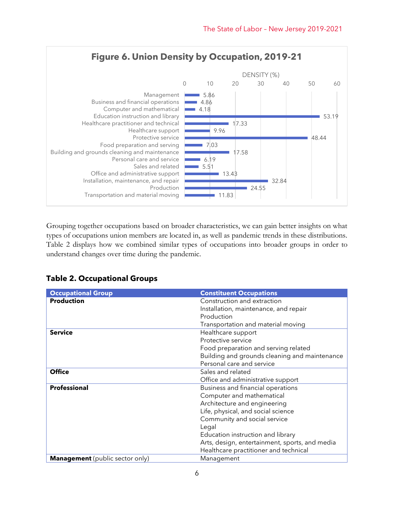

Grouping together occupations based on broader characteristics, we can gain better insights on what types of occupations union members are located in, as well as pandemic trends in these distributions. Table 2 displays how we combined similar types of occupations into broader groups in order to understand changes over time during the pandemic.

| <b>Table 2. Occupational Groups</b> |  |  |  |  |
|-------------------------------------|--|--|--|--|
|-------------------------------------|--|--|--|--|

| <b>Occupational Group</b>              | <b>Constituent Occupations</b>                 |
|----------------------------------------|------------------------------------------------|
| <b>Production</b>                      | Construction and extraction                    |
|                                        | Installation, maintenance, and repair          |
|                                        | Production                                     |
|                                        | Transportation and material moving             |
| <b>Service</b>                         | Healthcare support                             |
|                                        | Protective service                             |
|                                        | Food preparation and serving related           |
|                                        | Building and grounds cleaning and maintenance  |
|                                        | Personal care and service                      |
| <b>Office</b>                          | Sales and related                              |
|                                        | Office and administrative support              |
| <b>Professional</b>                    | Business and financial operations              |
|                                        | Computer and mathematical                      |
|                                        | Architecture and engineering                   |
|                                        | Life, physical, and social science             |
|                                        | Community and social service                   |
|                                        | Legal                                          |
|                                        | Education instruction and library              |
|                                        | Arts, design, entertainment, sports, and media |
|                                        | Healthcare practitioner and technical          |
| <b>Management</b> (public sector only) | Management                                     |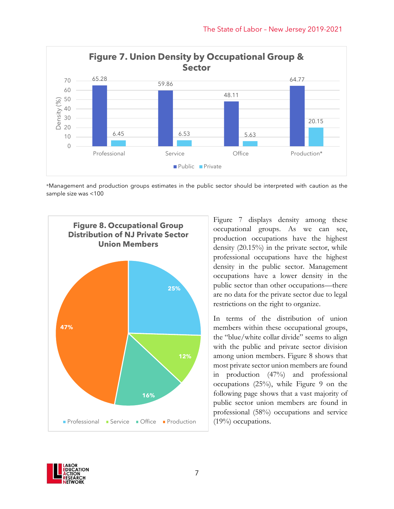

\*Management and production groups estimates in the public sector should be interpreted with caution as the sample size was <100



Figure 7 displays density among these occupational groups. As we can see, production occupations have the highest density (20.15%) in the private sector, while professional occupations have the highest density in the public sector. Management occupations have a lower density in the public sector than other occupations—there are no data for the private sector due to legal restrictions on the right to organize.

In terms of the distribution of union members within these occupational groups, the "blue/white collar divide" seems to align with the public and private sector division among union members. Figure 8 shows that most private sector union members are found in production (47%) and professional occupations (25%), while Figure 9 on the following page shows that a vast majority of public sector union members are found in professional (58%) occupations and service (19%) occupations.

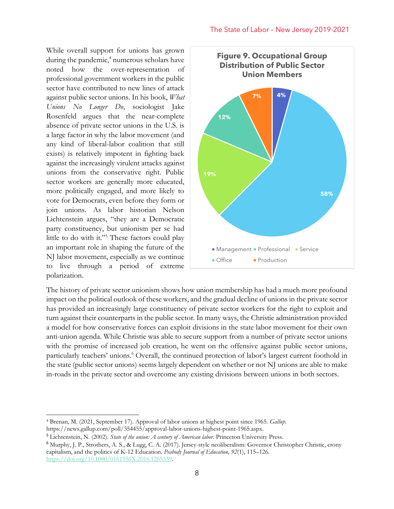While overall support for unions has grown during the pandemic,<sup>4</sup> numerous scholars have noted how the over-representation of professional government workers in the public sector have contributed to new lines of attack against public sector unions. In his book, *What Unions No Longer Do*, sociologist Jake Rosenfeld argues that the near-complete absence of private sector unions in the U.S. is a large factor in why the labor movement (and any kind of liberal-labor coalition that still exists) is relatively impotent in fighting back against the increasingly virulent attacks against unions from the conservative right. Public sector workers are generally more educated, more politically engaged, and more likely to vote for Democrats, even before they form or join unions. As labor historian Nelson Lichtenstein argues, "they are a Democratic party constituency, but unionism per se had little to do with it."<sup>5</sup> These factors could play an important role in shaping the future of the NJ labor movement, especially as we continue to live through a period of extreme polarization.



The history of private sector unionism shows how union membership has had a much more profound impact on the political outlook of these workers, and the gradual decline of unions in the private sector has provided an increasingly large constituency of private sector workers for the right to exploit and turn against their counterparts in the public sector. In many ways, the Christie administration provided a model for how conservative forces can exploit divisions in the state labor movement for their own anti-union agenda. While Christie was able to secure support from a number of private sector unions with the promise of increased job creation, he went on the offensive against public sector unions, particularly teachers' unions. <sup>6</sup> Overall, the continued protection of labor's largest current foothold in the state (public sector unions) seems largely dependent on whether or not NJ unions are able to make in-roads in the private sector and overcome any existing divisions between unions in both sectors.

<sup>4</sup> Brenan, M. (2021, September 17). Approval of labor unions at highest point since 1965. *Gallup.* https://news.gallup.com/poll/354455/approval-labor-unions-highest-point-1965.aspx.

<sup>5</sup> Lichtenstein, N. (2002). *State of the union: A century of American labor*. Princeton University Press.

<sup>6</sup> Murphy, J. P., Strothers, A. S., & Lugg, C. A. (2017). Jersey-style neoliberalism: Governor Christopher Christie, crony capitalism, and the politics of K-12 Education. *Peabody Journal of Education, 92*(1), 115–126. [https://doi.org/10.1080/0161956X.2016.1265339.](https://doi.org/10.1080/0161956X.2016.1265339)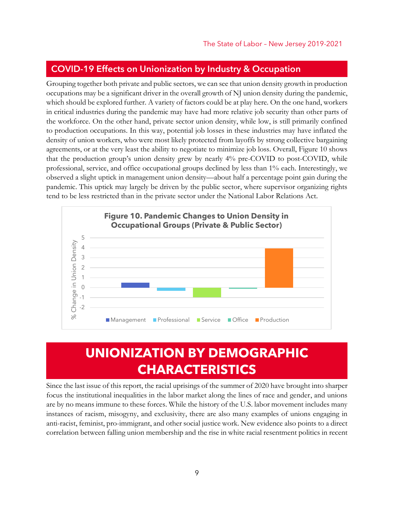### COVID-19 Effects on Unionization by Industry & Occupation

Grouping together both private and public sectors, we can see that union density growth in production occupations may be a significant driver in the overall growth of NJ union density during the pandemic, which should be explored further. A variety of factors could be at play here. On the one hand, workers in critical industries during the pandemic may have had more relative job security than other parts of the workforce. On the other hand, private sector union density, while low, is still primarily confined to production occupations. In this way, potential job losses in these industries may have inflated the density of union workers, who were most likely protected from layoffs by strong collective bargaining agreements, or at the very least the ability to negotiate to minimize job loss. Overall, Figure 10 shows that the production group's union density grew by nearly 4% pre-COVID to post-COVID, while professional, service, and office occupational groups declined by less than 1% each. Interestingly, we observed a slight uptick in management union density—about half a percentage point gain during the pandemic. This uptick may largely be driven by the public sector, where supervisor organizing rights tend to be less restricted than in the private sector under the National Labor Relations Act.



### **UNIONIZATION BY DEMOGRAPHIC CHARACTERISTICS**

Since the last issue of this report, the racial uprisings of the summer of 2020 have brought into sharper focus the institutional inequalities in the labor market along the lines of race and gender, and unions are by no means immune to these forces. While the history of the U.S. labor movement includes many instances of racism, misogyny, and exclusivity, there are also many examples of unions engaging in anti-racist, feminist, pro-immigrant, and other social justice work. New evidence also points to a direct correlation between falling union membership and the rise in white racial resentment politics in recent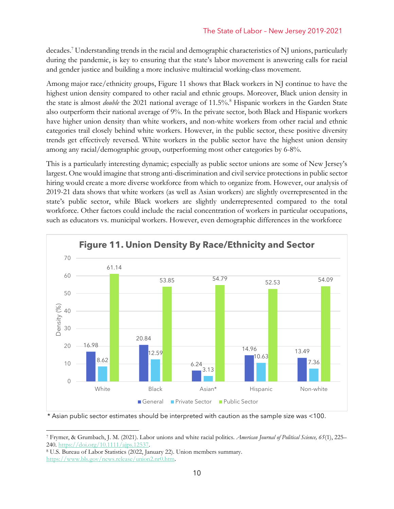decades. <sup>7</sup> Understanding trends in the racial and demographic characteristics of NJ unions, particularly during the pandemic, is key to ensuring that the state's labor movement is answering calls for racial and gender justice and building a more inclusive multiracial working-class movement.

Among major race/ethnicity groups, Figure 11 shows that Black workers in NJ continue to have the highest union density compared to other racial and ethnic groups. Moreover, Black union density in the state is almost *double* the 2021 national average of 11.5%.<sup>8</sup> Hispanic workers in the Garden State also outperform their national average of 9%. In the private sector, both Black and Hispanic workers have higher union density than white workers, and non-white workers from other racial and ethnic categories trail closely behind white workers. However, in the public sector, these positive diversity trends get effectively reversed. White workers in the public sector have the highest union density among any racial/demographic group, outperforming most other categories by 6-8%.

This is a particularly interesting dynamic; especially as public sector unions are some of New Jersey's largest. One would imagine that strong anti-discrimination and civil service protections in public sector hiring would create a more diverse workforce from which to organize from. However, our analysis of 2019-21 data shows that white workers (as well as Asian workers) are slightly overrepresented in the state's public sector, while Black workers are slightly underrepresented compared to the total workforce. Other factors could include the racial concentration of workers in particular occupations, such as educators vs. municipal workers. However, even demographic differences in the workforce



<sup>\*</sup> Asian public sector estimates should be interpreted with caution as the sample size was <100.

<sup>7</sup> Frymer, & Grumbach, J. M. (2021). Labor unions and white racial politics. *American Journal of Political Science, 65*(1), 225– 240[. https://doi.org/10.1111/ajps.12537.](https://doi.org/10.1111/ajps.12537)

<sup>8</sup> U.S. Bureau of Labor Statistics (2022, January 22). Union members summary. [https://www.bls.gov/news.release/union2.nr0.htm.](https://www.bls.gov/news.release/union2.nr0.htm)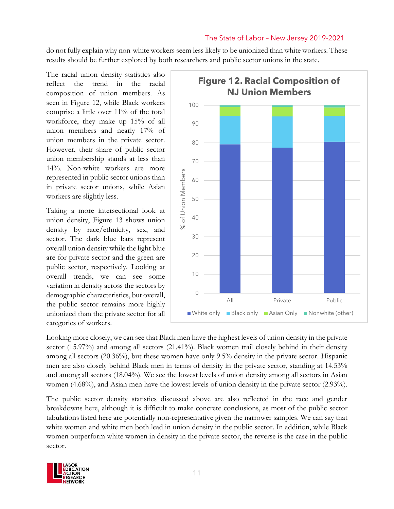do not fully explain why non-white workers seem less likely to be unionized than white workers. These results should be further explored by both researchers and public sector unions in the state.

The racial union density statistics also reflect the trend in the racial composition of union members. As seen in Figure 12, while Black workers comprise a little over 11% of the total workforce, they make up 15% of all union members and nearly 17% of union members in the private sector. However, their share of public sector union membership stands at less than 14%. Non-white workers are more represented in public sector unions than in private sector unions, while Asian workers are slightly less.

Taking a more intersectional look at union density, Figure 13 shows union density by race/ethnicity, sex, and sector. The dark blue bars represent overall union density while the light blue are for private sector and the green are public sector, respectively. Looking at overall trends, we can see some variation in density across the sectors by demographic characteristics, but overall, the public sector remains more highly unionized than the private sector for all categories of workers.



Looking more closely, we can see that Black men have the highest levels of union density in the private sector (15.97%) and among all sectors (21.41%). Black women trail closely behind in their density among all sectors (20.36%), but these women have only 9.5% density in the private sector. Hispanic men are also closely behind Black men in terms of density in the private sector, standing at 14.53% and among all sectors (18.04%). We see the lowest levels of union density among all sectors in Asian women (4.68%), and Asian men have the lowest levels of union density in the private sector (2.93%).

The public sector density statistics discussed above are also reflected in the race and gender breakdowns here, although it is difficult to make concrete conclusions, as most of the public sector tabulations listed here are potentially non-representative given the narrower samples. We can say that white women and white men both lead in union density in the public sector. In addition, while Black women outperform white women in density in the private sector, the reverse is the case in the public sector.

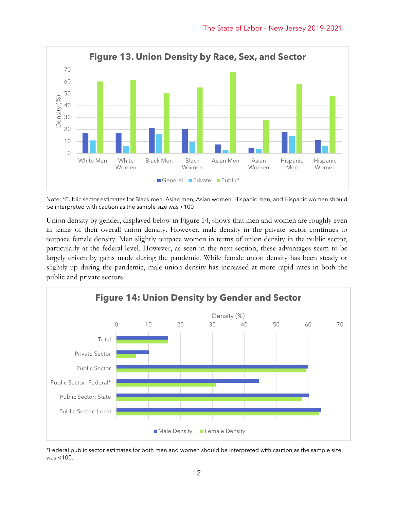

Note: \*Public sector estimates for Black men, Asian men, Asian women, Hispanic men, and Hispanic women should be interpreted with caution as the sample size was <100

Union density by gender, displayed below in Figure 14, shows that men and women are roughly even in terms of their overall union density. However, male density in the private sector continues to outpace female density. Men slightly outpace women in terms of union density in the public sector, particularly at the federal level. However, as seen in the next section, these advantages seem to be largely driven by gains made during the pandemic. While female union density has been steady or slightly up during the pandemic, male union density has increased at more rapid rates in both the public and private sectors.



\*Federal public sector estimates for both men and women should be interpreted with caution as the sample size was <100.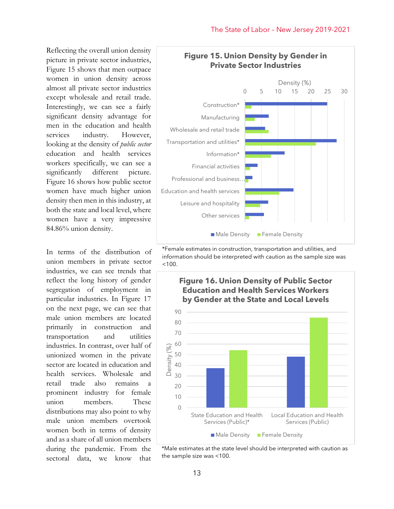Reflecting the overall union density picture in private sector industries, Figure 15 shows that men outpace women in union density across almost all private sector industries except wholesale and retail trade. Interestingly, we can see a fairly significant density advantage for men in the education and health services industry. However, looking at the density of *public sector* education and health services workers specifically, we can see a significantly different picture. Figure 16 shows how public sector women have much higher union density then men in this industry, at both the state and local level, where women have a very impressive 84.86% union density.

In terms of the distribution of union members in private sector industries, we can see trends that reflect the long history of gender segregation of employment in particular industries. In Figure 17 on the next page, we can see that male union members are located primarily in construction and transportation and utilities industries. In contrast, over half of unionized women in the private sector are located in education and health services. Wholesale and retail trade also remains a prominent industry for female union members. These distributions may also point to why male union members overtook women both in terms of density and as a share of all union members during the pandemic. From the sectoral data, we know that



\*Female estimates in construction, transportation and utilities, and information should be interpreted with caution as the sample size was  $< 100$ .



\*Male estimates at the state level should be interpreted with caution as the sample size was <100.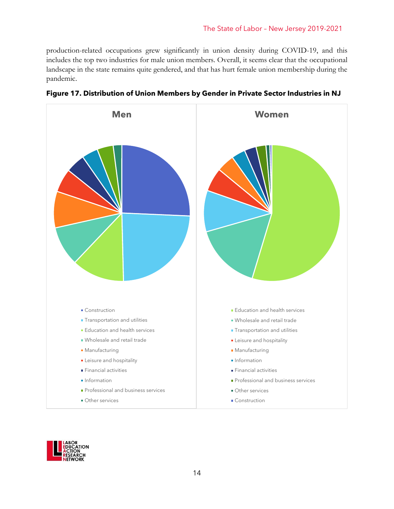production-related occupations grew significantly in union density during COVID-19, and this includes the top two industries for male union members. Overall, it seems clear that the occupational landscape in the state remains quite gendered, and that has hurt female union membership during the pandemic.





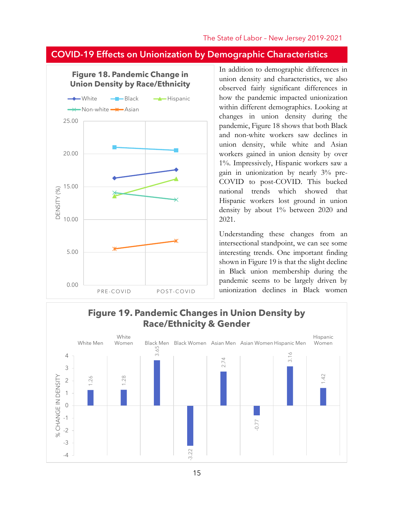### COVID-19 Effects on Unionization by Demographic Characteristics



In addition to demographic differences in union density and characteristics, we also observed fairly significant differences in how the pandemic impacted unionization within different demographics. Looking at changes in union density during the pandemic, Figure 18 shows that both Black and non-white workers saw declines in union density, while white and Asian workers gained in union density by over 1%. Impressively, Hispanic workers saw a gain in unionization by nearly 3% pre-COVID to post-COVID. This bucked national trends which showed that Hispanic workers lost ground in union density by about 1% between 2020 and 2021.

Understanding these changes from an intersectional standpoint, we can see some interesting trends. One important finding shown in Figure 19 is that the slight decline in Black union membership during the pandemic seems to be largely driven by unionization declines in Black women

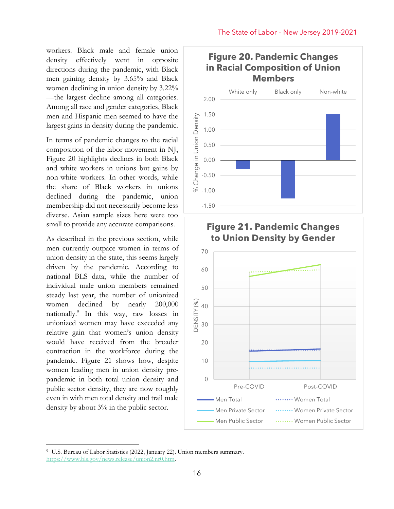workers. Black male and female union density effectively went in opposite directions during the pandemic, with Black men gaining density by 3.65% and Black women declining in union density by 3.22% —the largest decline among all categories. Among all race and gender categories, Black men and Hispanic men seemed to have the largest gains in density during the pandemic.

In terms of pandemic changes to the racial composition of the labor movement in NJ, Figure 20 highlights declines in both Black and white workers in unions but gains by non-white workers. In other words, while the share of Black workers in unions declined during the pandemic, union membership did not necessarily become less diverse. Asian sample sizes here were too small to provide any accurate comparisons.

As described in the previous section, while men currently outpace women in terms of union density in the state, this seems largely driven by the pandemic. According to national BLS data, while the number of individual male union members remained steady last year, the number of unionized women declined by nearly 200,000 nationally.<sup>9</sup> In this way, raw losses in unionized women may have exceeded any relative gain that women's union density would have received from the broader contraction in the workforce during the pandemic. Figure 21 shows how, despite women leading men in union density prepandemic in both total union density and public sector density, they are now roughly even in with men total density and trail male density by about 3% in the public sector.





### **Figure 21. Pandemic Changes to Union Density by Gender**

<sup>9</sup> U.S. Bureau of Labor Statistics (2022, January 22). Union members summary. [https://www.bls.gov/news.release/union2.nr0.htm.](https://www.bls.gov/news.release/union2.nr0.htm)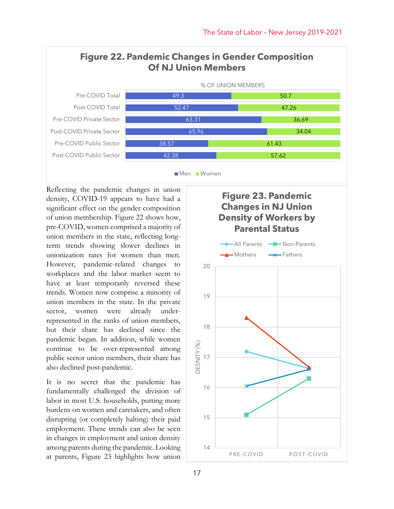

Reflecting the pandemic changes in union density, COVID-19 appears to have had a significant effect on the gender composition of union membership. Figure 22 shows how, pre-COVID, women comprised a majority of union members in the state, reflecting longterm trends showing slower declines in unionization rates for women than men. However, pandemic-related changes to workplaces and the labor market seem to have at least temporarily reversed these trends. Women now comprise a minority of union members in the state. In the private sector, women were already underrepresented in the ranks of union members, but their share has declined since the pandemic began. In addition, while women continue to be over-represented among public sector union members, their share has also declined post-pandemic.

It is no secret that the pandemic has fundamentally challenged the division of labor in most U.S. households, putting more burdens on women and caretakers, and often disrupting (or completely halting) their paid employment. These trends can also be seen in changes in employment and union density among parents during the pandemic. Looking at parents, Figure 23 highlights how union

### **Figure 23. Pandemic Changes in NJ Union Density of Workers by Parental Status**

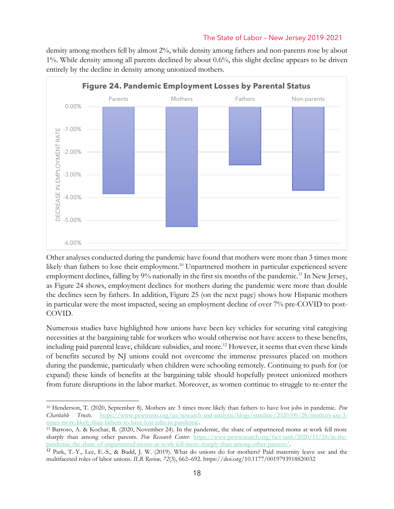density among mothers fell by almost 2%, while density among fathers and non-parents rose by about 1%. While density among all parents declined by about 0.6%, this slight decline appears to be driven entirely by the decline in density among unionized mothers.



Other analyses conducted during the pandemic have found that mothers were more than 3 times more likely than fathers to lose their employment.<sup>10</sup> Unpartnered mothers in particular experienced severe employment declines, falling by  $9\%$  nationally in the first six months of the pandemic.<sup>11</sup> In New Jersey, as Figure 24 shows, employment declines for mothers during the pandemic were more than double the declines seen by fathers. In addition, Figure 25 (on the next page) shows how Hispanic mothers in particular were the most impacted, seeing an employment decline of over 7% pre-COVID to post-COVID.

Numerous studies have highlighted how unions have been key vehicles for securing vital caregiving necessities at the bargaining table for workers who would otherwise not have access to these benefits, including paid parental leave, childcare subsidies, and more.<sup>12</sup> However, it seems that even these kinds of benefits secured by NJ unions could not overcome the immense pressures placed on mothers during the pandemic, particularly when children were schooling remotely. Continuing to push for (or expand) these kinds of benefits at the bargaining table should hopefully protect unionized mothers from future disruptions in the labor market. Moreover, as women continue to struggle to re-enter the

<sup>10</sup> Henderson, T. (2020, September 8). Mothers are 3 times more likely than fathers to have lost jobs in pandemic. *Pew Charitable Trusts.* [https://www.pewtrusts.org/en/research-and-analysis/blogs/stateline/2020/09/28/mothers-are-3](https://www.pewtrusts.org/en/research-and-analysis/blogs/stateline/2020/09/28/mothers-are-3-times-more-likely-than-fathers-to-have-lost-jobs-in-pandemic) [times-more-likely-than-fathers-to-have-lost-jobs-in-pandemic.](https://www.pewtrusts.org/en/research-and-analysis/blogs/stateline/2020/09/28/mothers-are-3-times-more-likely-than-fathers-to-have-lost-jobs-in-pandemic)

<sup>11</sup> Barroso, A. & Kochar, R. (2020, November 24). In the pandemic, the share of unpartnered moms at work fell more sharply than among other parents. *Pew Research Center.* [https://www.pewresearch.org/fact-tank/2020/11/24/in-the](https://www.pewresearch.org/fact-tank/2020/11/24/in-the-pandemic-the-share-of-unpartnered-moms-at-work-fell-more-sharply-than-among-other-parents/)[pandemic-the-share-of-unpartnered-moms-at-work-fell-more-sharply-than-among-other-parents/.](https://www.pewresearch.org/fact-tank/2020/11/24/in-the-pandemic-the-share-of-unpartnered-moms-at-work-fell-more-sharply-than-among-other-parents/)

<sup>12</sup> Park, T.-Y., Lee, E.-S., & Budd, J. W. (2019). What do unions do for mothers? Paid maternity leave use and the multifaceted roles of labor unions. *ILR Review, 72*(3), 662–692. https://doi.org/10.1177/0019793918820032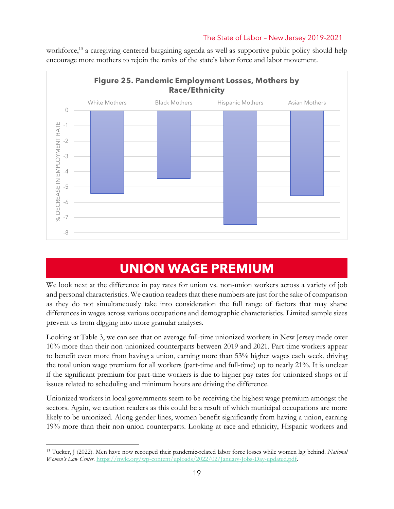

workforce,<sup>13</sup> a caregiving-centered bargaining agenda as well as supportive public policy should help encourage more mothers to rejoin the ranks of the state's labor force and labor movement.

### **UNION WAGE PREMIUM**

We look next at the difference in pay rates for union vs. non-union workers across a variety of job and personal characteristics. We caution readers that these numbers are just for the sake of comparison as they do not simultaneously take into consideration the full range of factors that may shape differences in wages across various occupations and demographic characteristics. Limited sample sizes prevent us from digging into more granular analyses.

Looking at Table 3, we can see that on average full-time unionized workers in New Jersey made over 10% more than their non-unionized counterparts between 2019 and 2021. Part-time workers appear to benefit even more from having a union, earning more than 53% higher wages each week, driving the total union wage premium for all workers (part-time and full-time) up to nearly 21%. It is unclear if the significant premium for part-time workers is due to higher pay rates for unionized shops or if issues related to scheduling and minimum hours are driving the difference.

Unionized workers in local governments seem to be receiving the highest wage premium amongst the sectors. Again, we caution readers as this could be a result of which municipal occupations are more likely to be unionized. Along gender lines, women benefit significantly from having a union, earning 19% more than their non-union counterparts. Looking at race and ethnicity, Hispanic workers and

<sup>13</sup> Tucker, J (2022). Men have now recouped their pandemic-related labor force losses while women lag behind. *National Women's Law Center.* [https://nwlc.org/wp-content/uploads/2022/02/January-Jobs-Day-updated.pdf.](https://nwlc.org/wp-content/uploads/2022/02/January-Jobs-Day-updated.pdf)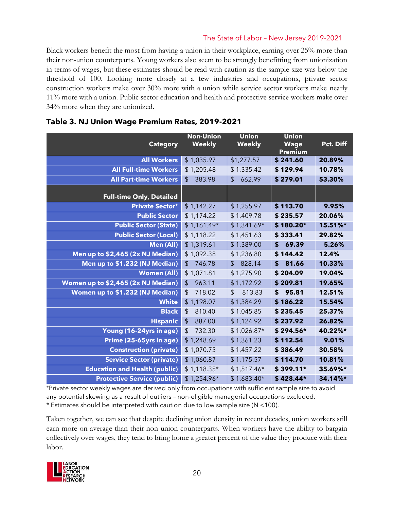Black workers benefit the most from having a union in their workplace, earning over 25% more than their non-union counterparts. Young workers also seem to be strongly benefitting from unionization in terms of wages, but these estimates should be read with caution as the sample size was below the threshold of 100. Looking more closely at a few industries and occupations, private sector construction workers make over 30% more with a union while service sector workers make nearly 11% more with a union. Public sector education and health and protective service workers make over 34% more when they are unionized.

| <b>Category</b>                      | <b>Non-Union</b><br><b>Weekly</b>   | <b>Union</b><br><b>Weekly</b> | <b>Union</b><br><b>Wage</b><br><b>Premium</b> | Pct. Diff |
|--------------------------------------|-------------------------------------|-------------------------------|-----------------------------------------------|-----------|
| <b>All Workers</b>                   | \$1,035.97                          | \$1,277.57                    | \$241.60                                      | 20.89%    |
| <b>All Full-time Workers</b>         | \$1,205.48                          | \$1,335.42                    | \$129.94                                      | 10.78%    |
| <b>All Part-time Workers</b>         | $\frac{1}{2}$<br>383.98             | \$<br>662.99                  | \$279.01                                      | 53.30%    |
| <b>Full-time Only, Detailed</b>      |                                     |                               |                                               |           |
| <b>Private Sector+</b>               | \$1,142.27                          | \$1,255.97                    | \$113.70                                      | 9.95%     |
| <b>Public Sector</b>                 | \$1,174.22                          | \$1,409.78                    | \$235.57                                      | 20.06%    |
| <b>Public Sector (State)</b>         | $$1,161.49*$                        | $$1,341.69*$                  | $$180.20*$                                    | 15.51%*   |
| <b>Public Sector (Local)</b>         | \$1,118.22                          | \$1,451.63                    | \$333.41                                      | 29.82%    |
| <b>Men (All)</b>                     | \$1,319.61                          | \$1,389.00                    | \$<br>69.39                                   | 5.26%     |
| Men up to \$2,465 (2x NJ Median)     | \$1,092.38                          | \$1,236.80                    | \$144.42                                      | 12.4%     |
| Men up to \$1.232 (NJ Median)        | $\sqrt[6]{\frac{1}{2}}$<br>746.78   | \$<br>828.14                  | 81.66<br>\$                                   | 10.33%    |
| <b>Women (All)</b>                   | \$1,071.81                          | \$1,275.90                    | \$204.09                                      | 19.04%    |
| Women up to \$2,465 (2x NJ Median)   | 963.11<br>$\frac{1}{2}$             | \$1,172.92                    | \$209.81                                      | 19.65%    |
| Women up to \$1.232 (NJ Median)      | $\boldsymbol{\mathsf{S}}$<br>718.02 | \$<br>813.83                  | \$95.81                                       | 12.51%    |
| <b>White</b>                         | \$1,198.07                          | \$1,384.29                    | \$186.22                                      | 15.54%    |
| <b>Black</b>                         | $\frac{1}{2}$<br>810.40             | \$1,045.85                    | \$235.45                                      | 25.37%    |
| <b>Hispanic</b>                      | $\sqrt{2}$<br>887.00                | \$1,124.92                    | \$237.92                                      | 26.82%    |
| Young (16-24yrs in age)              | 732.30<br>\$                        | $$1,026.87*$                  | $$294.56*$                                    | 40.22%*   |
| Prime (25-65yrs in age)              | \$1,248.69                          | \$1,361.23                    | \$112.54                                      | 9.01%     |
| <b>Construction (private)</b>        | \$1,070.73                          | \$1,457.22                    | \$386.49                                      | 30.58%    |
| <b>Service Sector (private)</b>      | \$1,060.87                          | \$1,175.57                    | \$114.70                                      | 10.81%    |
| <b>Education and Health (public)</b> | $$1,118.35*$                        | $$1,517.46*$                  | $$399.11*$                                    | 35.69%*   |
| <b>Protective Service (public)</b>   | $$1,254.96*$                        | $$1,683.40*$                  | \$428.44*                                     | 34.14%*   |

### **Table 3. NJ Union Wage Premium Rates, 2019-2021**

<sup>+</sup>Private sector weekly wages are derived only from occupations with sufficient sample size to avoid any potential skewing as a result of outliers – non-eligible managerial occupations excluded.

\* Estimates should be interpreted with caution due to low sample size (N <100).

Taken together, we can see that despite declining union density in recent decades, union workers still earn more on average than their non-union counterparts. When workers have the ability to bargain collectively over wages, they tend to bring home a greater percent of the value they produce with their labor.

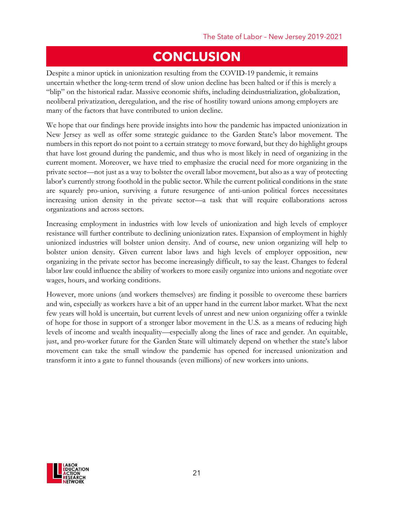### **CONCLUSION**

Despite a minor uptick in unionization resulting from the COVID-19 pandemic, it remains uncertain whether the long-term trend of slow union decline has been halted or if this is merely a "blip" on the historical radar. Massive economic shifts, including deindustrialization, globalization, neoliberal privatization, deregulation, and the rise of hostility toward unions among employers are many of the factors that have contributed to union decline.

We hope that our findings here provide insights into how the pandemic has impacted unionization in New Jersey as well as offer some strategic guidance to the Garden State's labor movement. The numbers in this report do not point to a certain strategy to move forward, but they do highlight groups that have lost ground during the pandemic, and thus who is most likely in need of organizing in the current moment. Moreover, we have tried to emphasize the crucial need for more organizing in the private sector—not just as a way to bolster the overall labor movement, but also as a way of protecting labor's currently strong foothold in the public sector. While the current political conditions in the state are squarely pro-union, surviving a future resurgence of anti-union political forces necessitates increasing union density in the private sector—a task that will require collaborations across organizations and across sectors.

Increasing employment in industries with low levels of unionization and high levels of employer resistance will further contribute to declining unionization rates. Expansion of employment in highly unionized industries will bolster union density. And of course, new union organizing will help to bolster union density. Given current labor laws and high levels of employer opposition, new organizing in the private sector has become increasingly difficult, to say the least. Changes to federal labor law could influence the ability of workers to more easily organize into unions and negotiate over wages, hours, and working conditions.

However, more unions (and workers themselves) are finding it possible to overcome these barriers and win, especially as workers have a bit of an upper hand in the current labor market. What the next few years will hold is uncertain, but current levels of unrest and new union organizing offer a twinkle of hope for those in support of a stronger labor movement in the U.S. as a means of reducing high levels of income and wealth inequality—especially along the lines of race and gender. An equitable, just, and pro-worker future for the Garden State will ultimately depend on whether the state's labor movement can take the small window the pandemic has opened for increased unionization and transform it into a gate to funnel thousands (even millions) of new workers into unions.

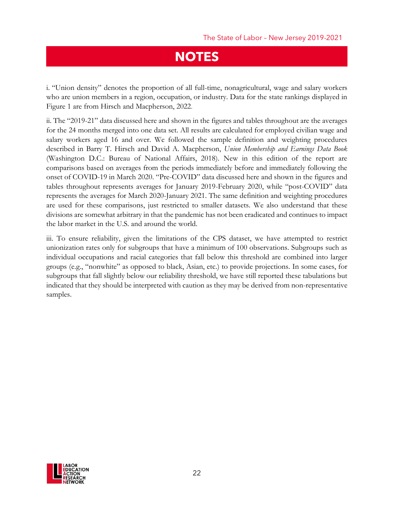### **NOTES**

i. "Union density" denotes the proportion of all full-time, nonagricultural, wage and salary workers who are union members in a region, occupation, or industry. Data for the state rankings displayed in Figure 1 are from Hirsch and Macpherson, 2022.

ii. The "2019-21" data discussed here and shown in the figures and tables throughout are the averages for the 24 months merged into one data set. All results are calculated for employed civilian wage and salary workers aged 16 and over. We followed the sample definition and weighting procedures described in Barry T. Hirsch and David A. Macpherson, *Union Membership and Earnings Data Book* (Washington D.C.: Bureau of National Affairs, 2018). New in this edition of the report are comparisons based on averages from the periods immediately before and immediately following the onset of COVID-19 in March 2020. "Pre-COVID" data discussed here and shown in the figures and tables throughout represents averages for January 2019-February 2020, while "post-COVID" data represents the averages for March 2020-January 2021. The same definition and weighting procedures are used for these comparisons, just restricted to smaller datasets. We also understand that these divisions are somewhat arbitrary in that the pandemic has not been eradicated and continues to impact the labor market in the U.S. and around the world.

iii. To ensure reliability, given the limitations of the CPS dataset, we have attempted to restrict unionization rates only for subgroups that have a minimum of 100 observations. Subgroups such as individual occupations and racial categories that fall below this threshold are combined into larger groups (e.g., "nonwhite" as opposed to black, Asian, etc.) to provide projections. In some cases, for subgroups that fall slightly below our reliability threshold, we have still reported these tabulations but indicated that they should be interpreted with caution as they may be derived from non-representative samples.

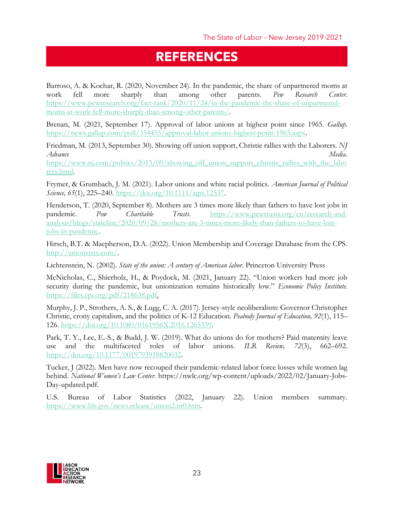### **REFERENCES**

Barroso, A. & Kochar, R. (2020, November 24). In the pandemic, the share of unpartnered moms at work fell more sharply than among other parents. *Pew Research Center.* [https://www.pewresearch.org/fact-tank/2020/11/24/in-the-pandemic-the-share-of-unpartnered](https://www.pewresearch.org/fact-tank/2020/11/24/in-the-pandemic-the-share-of-unpartnered-moms-at-work-fell-more-sharply-than-among-other-parents/)[moms-at-work-fell-more-sharply-than-among-other-parents/.](https://www.pewresearch.org/fact-tank/2020/11/24/in-the-pandemic-the-share-of-unpartnered-moms-at-work-fell-more-sharply-than-among-other-parents/)

Brenan, M. (2021, September 17). Approval of labor unions at highest point since 1965. *Gallup.* [https://news.gallup.com/poll/354455/approval-labor-unions-highest-point-1965.aspx.](https://news.gallup.com/poll/354455/approval-labor-unions-highest-point-1965.aspx)

Friedman, M. (2013, September 30). Showing off union support, Christie rallies with the Laborers. *NJ Advance Media.*

[https://www.nj.com/politics/2013/09/showing\\_off\\_union\\_support\\_christie\\_rallies\\_with\\_the\\_labo](https://www.nj.com/politics/2013/09/showing_off_union_support_christie_rallies_with_the_laborers.html) [rers.html.](https://www.nj.com/politics/2013/09/showing_off_union_support_christie_rallies_with_the_laborers.html)

Frymer, & Grumbach, J. M. (2021). Labor unions and white racial politics. *American Journal of Political Science, 65*(1), 225–240. [https://doi.org/10.1111/ajps.12537.](https://doi.org/10.1111/ajps.12537)

Henderson, T. (2020, September 8). Mothers are 3 times more likely than fathers to have lost jobs in pandemic. *Pew Charitable Trusts*. [https://www.pewtrusts.org/en/research-and](https://www.pewtrusts.org/en/research-and-analysis/blogs/stateline/2020/09/28/mothers-are-3-times-more-likely-than-fathers-to-have-lost-jobs-in-pandemic)[analysis/blogs/stateline/2020/09/28/mothers-are-3-times-more-likely-than-fathers-to-have-lost](https://www.pewtrusts.org/en/research-and-analysis/blogs/stateline/2020/09/28/mothers-are-3-times-more-likely-than-fathers-to-have-lost-jobs-in-pandemic)[jobs-in-pandemic.](https://www.pewtrusts.org/en/research-and-analysis/blogs/stateline/2020/09/28/mothers-are-3-times-more-likely-than-fathers-to-have-lost-jobs-in-pandemic)

Hirsch, B.T. & Macpherson, D.A. (2022). Union Membership and Coverage Database from the CPS. [http://unionstats.com/.](http://unionstats.com/)

Lichtenstein, N. (2002). *State of the union: A century of American labor*. Princeton University Press

McNicholas, C., Shierholz, H., & Poydock, M. (2021, January 22). "Union workers had more job security during the pandemic, but unionization remains historically low." *Economic Policy Institute*. [https://files.epi.org/pdf/218638.pdf.](https://files.epi.org/pdf/218638.pdf)

Murphy, J. P., Strothers, A. S., & Lugg, C. A. (2017). Jersey-style neoliberalism: Governor Christopher Christie, crony capitalism, and the politics of K-12 Education. *Peabody Journal of Education, 92*(1), 115– 126. [https://doi.org/10.1080/0161956X.2016.1265339.](https://doi.org/10.1080/0161956X.2016.1265339)

Park, T. Y., Lee, E.-S., & Budd, J. W. (2019). What do unions do for mothers? Paid maternity leave use and the multifaceted roles of labor unions. *ILR Review, 72*(3), 662–692. [https://doi.org/10.1177/0019793918820032.](https://doi.org/10.1177/0019793918820032)

Tucker, J (2022). Men have now recouped their pandemic-related labor force losses while women lag behind. *National Women's Law Center*. https://nwlc.org/wp-content/uploads/2022/02/January-Jobs-Day-updated.pdf.

U.S. Bureau of Labor Statistics (2022, January 22). Union members summary. [https://www.bls.gov/news.release/union2.nr0.htm.](https://www.bls.gov/news.release/union2.nr0.htm)

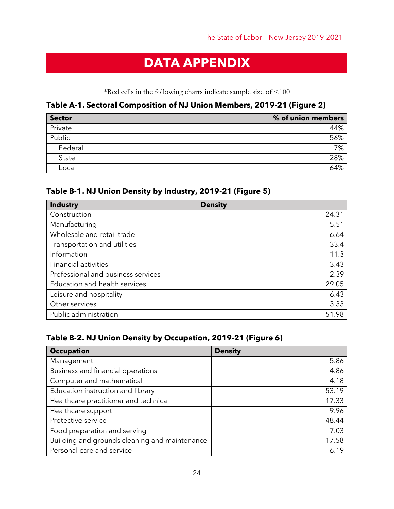### **DATA APPENDIX**

\*Red cells in the following charts indicate sample size of <100

### **Table A-1. Sectoral Composition of NJ Union Members, 2019-21 (Figure 2)**

| <b>Sector</b> | % of union members |
|---------------|--------------------|
| Private       | 44%                |
| Public        | 56%                |
| Federal       | 7%                 |
| State         | 28%                |
| Local         | 64%                |

### **Table B-1. NJ Union Density by Industry, 2019-21 (Figure 5)**

| <b>Industry</b>                    | <b>Density</b> |
|------------------------------------|----------------|
| Construction                       | 24.31          |
| Manufacturing                      | 5.51           |
| Wholesale and retail trade         | 6.64           |
| Transportation and utilities       | 33.4           |
| Information                        | 11.3           |
| <b>Financial activities</b>        | 3.43           |
| Professional and business services | 2.39           |
| Education and health services      | 29.05          |
| Leisure and hospitality            | 6.43           |
| Other services                     | 3.33           |
| Public administration              | 51.98          |

### **Table B-2. NJ Union Density by Occupation, 2019-21 (Figure 6)**

| <b>Occupation</b>                             | <b>Density</b> |
|-----------------------------------------------|----------------|
| Management                                    | 5.86           |
| Business and financial operations             | 4.86           |
| Computer and mathematical                     | 4.18           |
| Education instruction and library             | 53.19          |
| Healthcare practitioner and technical         | 17.33          |
| Healthcare support                            | 9.96           |
| Protective service                            | 48.44          |
| Food preparation and serving                  | 7.03           |
| Building and grounds cleaning and maintenance | 17.58          |
| Personal care and service                     | 6.19           |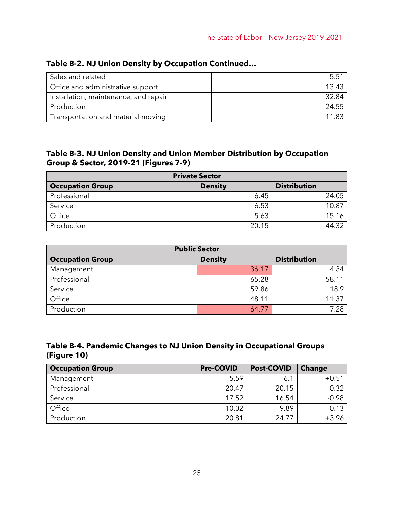| Sales and related                     | 5.51  |
|---------------------------------------|-------|
| Office and administrative support     | 13.43 |
| Installation, maintenance, and repair | 32.84 |
| Production                            | 24.55 |
| Transportation and material moving    | 11.83 |

### **Table B-2. NJ Union Density by Occupation Continued…**

#### **Table B-3. NJ Union Density and Union Member Distribution by Occupation Group & Sector, 2019-21 (Figures 7-9)**

| <b>Private Sector</b>   |                |                     |  |  |
|-------------------------|----------------|---------------------|--|--|
| <b>Occupation Group</b> | <b>Density</b> | <b>Distribution</b> |  |  |
| Professional            | 6.45           | 24.05               |  |  |
| Service                 | 6.53           | 10.87               |  |  |
| Office                  | 5.63           | 15.16               |  |  |
| Production              | 20.15          | 44.32               |  |  |

| <b>Public Sector</b>    |                |                     |  |  |
|-------------------------|----------------|---------------------|--|--|
| <b>Occupation Group</b> | <b>Density</b> | <b>Distribution</b> |  |  |
| Management              | 36.17          | 4.34                |  |  |
| Professional            | 65.28          | 58.11               |  |  |
| Service                 | 59.86          | 18.9                |  |  |
| Office                  | 48.11          | 11.37               |  |  |
| Production              | 64.77          | 7.28                |  |  |

### **Table B-4. Pandemic Changes to NJ Union Density in Occupational Groups (Figure 10)**

| <b>Occupation Group</b> | <b>Pre-COVID</b> | <b>Post-COVID</b> | <b>Change</b> |
|-------------------------|------------------|-------------------|---------------|
| Management              | 5.59             | 6.1               | $+0.51$       |
| Professional            | 20.47            | 20.15             | $-0.32$       |
| Service                 | 17.52            | 16.54             | $-0.98$       |
| Office                  | 10.02            | 9.89              | $-0.13$       |
| Production              | 20.81            | 24.77             | $+3.96$       |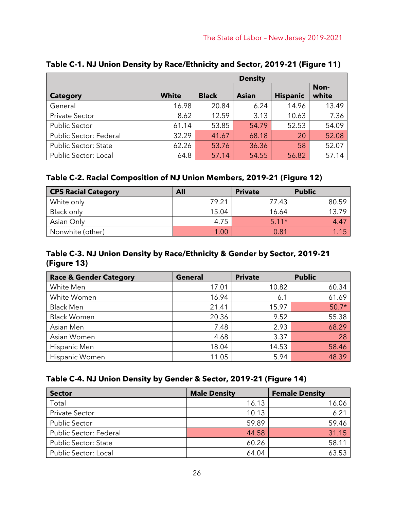|                             | <b>Density</b> |              |       |                 |               |
|-----------------------------|----------------|--------------|-------|-----------------|---------------|
| <b>Category</b>             | <b>White</b>   | <b>Black</b> | Asian | <b>Hispanic</b> | Non-<br>white |
| General                     | 16.98          | 20.84        | 6.24  | 14.96           | 13.49         |
| <b>Private Sector</b>       | 8.62           | 12.59        | 3.13  | 10.63           | 7.36          |
| <b>Public Sector</b>        | 61.14          | 53.85        | 54.79 | 52.53           | 54.09         |
| Public Sector: Federal      | 32.29          | 41.67        | 68.18 | 20              | 52.08         |
| <b>Public Sector: State</b> | 62.26          | 53.76        | 36.36 | 58              | 52.07         |
| Public Sector: Local        | 64.8           | 57.14        | 54.55 | 56.82           | 57.14         |

### **Table C-1. NJ Union Density by Race/Ethnicity and Sector, 2019-21 (Figure 11)**

### **Table C-2. Racial Composition of NJ Union Members, 2019-21 (Figure 12)**

| <b>CPS Racial Category</b> | All   | <b>Private</b> | <b>Public</b> |
|----------------------------|-------|----------------|---------------|
| White only                 | 79.21 | 77.43          | 80.59         |
| Black only                 | 15.04 | 16.64          | 13.79         |
| Asian Only                 | 4.75  | $5.11*$        | 4.47          |
| Nonwhite (other)           | 1.00  | 0.81           | 1.15          |

### **Table C-3. NJ Union Density by Race/Ethnicity & Gender by Sector, 2019-21 (Figure 13)**

| <b>Race &amp; Gender Category</b> | <b>General</b> | <b>Private</b> | <b>Public</b> |
|-----------------------------------|----------------|----------------|---------------|
| White Men                         | 17.01          | 10.82          | 60.34         |
| White Women                       | 16.94          | 6.1            | 61.69         |
| <b>Black Men</b>                  | 21.41          | 15.97          | $50.7*$       |
| <b>Black Women</b>                | 20.36          | 9.52           | 55.38         |
| Asian Men                         | 7.48           | 2.93           | 68.29         |
| Asian Women                       | 4.68           | 3.37           | 28            |
| Hispanic Men                      | 18.04          | 14.53          | 58.46         |
| Hispanic Women                    | 11.05          | 5.94           | 48.39         |

### **Table C-4. NJ Union Density by Gender & Sector, 2019-21 (Figure 14)**

| <b>Sector</b>               | <b>Male Density</b> | <b>Female Density</b> |
|-----------------------------|---------------------|-----------------------|
| Total                       | 16.13               | 16.06                 |
| <b>Private Sector</b>       | 10.13               | $6.2^{\circ}$         |
| <b>Public Sector</b>        | 59.89               | 59.46                 |
| Public Sector: Federal      | 44.58               | 31.15                 |
| <b>Public Sector: State</b> | 60.26               | 58.11                 |
| <b>Public Sector: Local</b> | 64.04               | 63.53                 |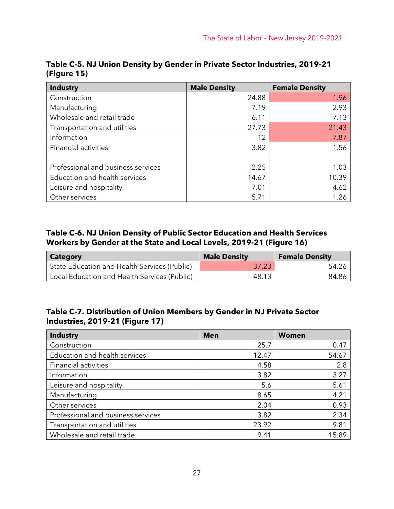| <b>Industry</b>                    | <b>Male Density</b> | <b>Female Density</b> |
|------------------------------------|---------------------|-----------------------|
| Construction                       | 24.88               | 1.96                  |
| Manufacturing                      | 7.19                | 2.93                  |
| Wholesale and retail trade         | 6.11                | 7.13                  |
| Transportation and utilities       | 27.73               | 21.43                 |
| Information                        | 12                  | 7.87                  |
| Financial activities               | 3.82                | 1.56                  |
|                                    |                     |                       |
| Professional and business services | 2.25                | 1.03                  |
| Education and health services      | 14.67               | 10.39                 |
| Leisure and hospitality            | 7.01                | 4.62                  |
| Other services                     | 5.71                | 1.26                  |

**Table C-5. NJ Union Density by Gender in Private Sector Industries, 2019-21 (Figure 15)**

### **Table C-6. NJ Union Density of Public Sector Education and Health Services Workers by Gender at the State and Local Levels, 2019-21 (Figure 16)**

| Category                                     | <b>Male Density</b> | <b>Female Density</b> |
|----------------------------------------------|---------------------|-----------------------|
| State Education and Health Services (Public) | 37.23               | 54.26                 |
| Local Education and Health Services (Public) | 48.13               | 84.86                 |

### **Table C-7. Distribution of Union Members by Gender in NJ Private Sector Industries, 2019-21 (Figure 17)**

| <b>Industry</b>                    | <b>Men</b> | <b>Women</b> |
|------------------------------------|------------|--------------|
| Construction                       | 25.7       | 0.47         |
| Education and health services      | 12.47      | 54.67        |
| <b>Financial activities</b>        | 4.58       | 2.8          |
| Information                        | 3.82       | 3.27         |
| Leisure and hospitality            | 5.6        | 5.61         |
| Manufacturing                      | 8.65       | 4.21         |
| Other services                     | 2.04       | 0.93         |
| Professional and business services | 3.82       | 2.34         |
| Transportation and utilities       | 23.92      | 9.81         |
| Wholesale and retail trade         | 9.41       | 15.89        |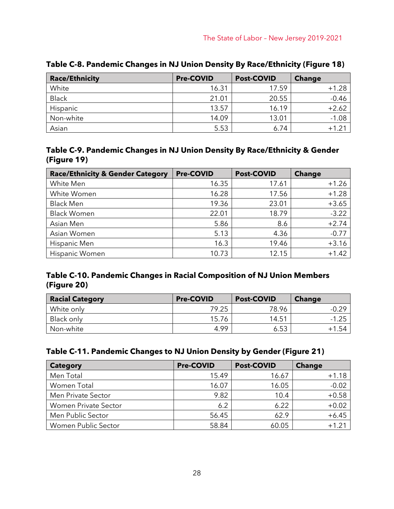| <b>Race/Ethnicity</b> | <b>Pre-COVID</b> | <b>Post-COVID</b> | <b>Change</b> |
|-----------------------|------------------|-------------------|---------------|
| White                 | 16.31            | 17.59             | $+1.28$       |
| <b>Black</b>          | 21.01            | 20.55             | $-0.46$       |
| Hispanic              | 13.57            | 16.19             | $+2.62$       |
| Non-white             | 14.09            | 13.01             | $-1.08$       |
| Asian                 | 5.53             | 6.74              | $+1.21$       |

**Table C-8. Pandemic Changes in NJ Union Density By Race/Ethnicity (Figure 18)**

### **Table C-9. Pandemic Changes in NJ Union Density By Race/Ethnicity & Gender (Figure 19)**

| <b>Race/Ethnicity &amp; Gender Category</b> | <b>Pre-COVID</b> | <b>Post-COVID</b> | <b>Change</b> |
|---------------------------------------------|------------------|-------------------|---------------|
| White Men                                   | 16.35            | 17.61             | $+1.26$       |
| White Women                                 | 16.28            | 17.56             | $+1.28$       |
| <b>Black Men</b>                            | 19.36            | 23.01             | $+3.65$       |
| <b>Black Women</b>                          | 22.01            | 18.79             | $-3.22$       |
| Asian Men                                   | 5.86             | 8.6               | $+2.74$       |
| Asian Women                                 | 5.13             | 4.36              | $-0.77$       |
| Hispanic Men                                | 16.3             | 19.46             | $+3.16$       |
| <b>Hispanic Women</b>                       | 10.73            | 12.15             | $+1.42$       |

### **Table C-10. Pandemic Changes in Racial Composition of NJ Union Members (Figure 20)**

| <b>Racial Category</b> | <b>Pre-COVID</b> | <b>Post-COVID</b> | <b>Change</b> |
|------------------------|------------------|-------------------|---------------|
| White only             | 79.25            | 78.96             | $-0.29$       |
| Black only             | 15.76            | 14.51             | $-1.25$       |
| Non-white              | 4.99             | 6.53              | $+1.54$       |

### **Table C-11. Pandemic Changes to NJ Union Density by Gender (Figure 21)**

| <b>Category</b>      | <b>Pre-COVID</b> | <b>Post-COVID</b> | <b>Change</b> |
|----------------------|------------------|-------------------|---------------|
| Men Total            | 15.49            | 16.67             | $+1.18$       |
| Women Total          | 16.07            | 16.05             | $-0.02$       |
| Men Private Sector   | 9.82             | 10.4              | $+0.58$       |
| Women Private Sector | 6.2              | 6.22              | $+0.02$       |
| Men Public Sector    | 56.45            | 62.9              | $+6.45$       |
| Women Public Sector  | 58.84            | 60.05             | $+1.21$       |